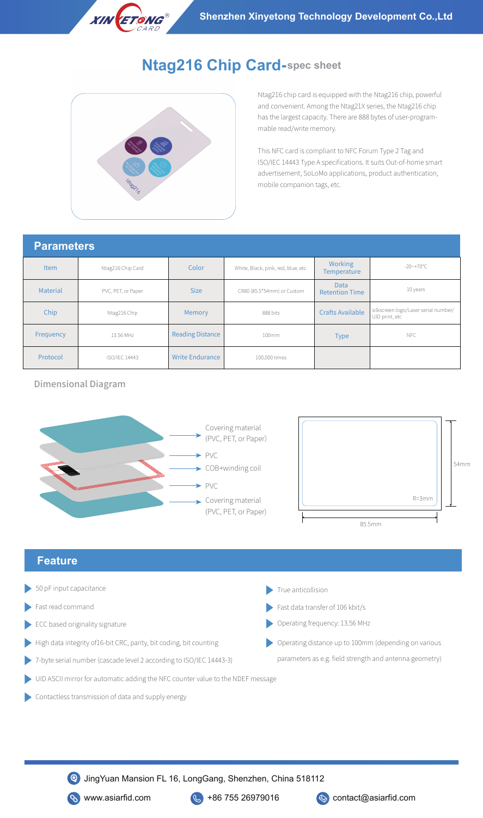

## **Ntag216 Chip Card-spec sheet**



Ntag216 chip card is equipped with the Ntag216 chip, powerful and convenient. Among the Ntag21X series, the Ntag216 chip has the largest capacity. There are 888 bytes of user-programmable read/write memory.

This NFC card is compliant to NFC Forum Type 2 Tag and ISO/IEC 14443 Type A specifications. It suits Out-of-home smart advertisement, SoLoMo applications, product authentication, mobile companion tags, etc.

## **Parameters**

| י מומחוסים  |                    |                         |                                     |                                      |                                                        |  |
|-------------|--------------------|-------------------------|-------------------------------------|--------------------------------------|--------------------------------------------------------|--|
| <b>Item</b> | Ntag216 Chip Card  | Color                   | White, Black, pink, red, blue, etc. | <b>Working</b><br><b>Temperature</b> | $-20$ ~+70°C                                           |  |
| Material    | PVC, PET, or Paper | <b>Size</b>             | CR80 (85.5*54mm) or Custom          | <b>Data</b><br><b>Retention Time</b> | 10 years                                               |  |
| Chip        | Ntag216 Chip       | Memory                  | 888 bits                            | <b>Crafts Available</b>              | silkscreen logo/Laser serial number/<br>UID print, etc |  |
| Frequency   | 13.56 MHz          | <b>Reading Distance</b> | 100mm                               | <b>Type</b>                          | NFC                                                    |  |
| Protocol    | ISO/IEC 14443      | <b>Write Endurance</b>  | 100,000 times                       |                                      |                                                        |  |

Dimensional Diagram





## **Feature**

- 50 pF input capacitance True anticollision
- Fast read command
- ECC based originality signature
- High data integrity of16-bit CRC, parity, bit coding, bit counting
- 7-byte serial number (cascade level 2 according to ISO/IEC 14443-3)
- 

Fast data transfer of 106 kbit/s

Operating frequency: 13.56 MHz

Operating distance up to 100mm (depending on various parameters as e.g. field strength and antenna geometry)

- UID ASCII mirror for automatic adding the NFC counter value to the NDEF message
- Contactless transmission of data and supply energy

JingYuan Mansion FL 16, LongGang, Shenzhen, China 518112



s www.asiarfid.com  $\&$  +86 755 26979016  $\&$  contact@asiarfid.com